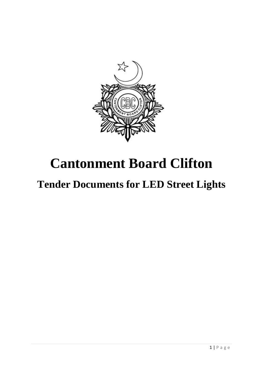

# **Cantonment Board Clifton**

# **Tender Documents for LED Street Lights**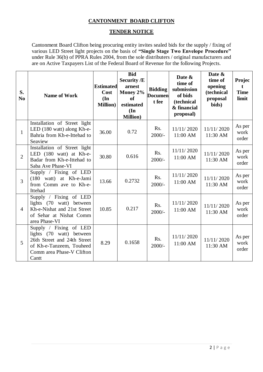# **CANTONMENT BOARD CLIFTON**

## **TENDER NOTICE**

Cantonment Board Clifton being procuring entity invites sealed bids for the supply / fixing of various LED Street light projects on the basis of **"Single Stage Two Envelope Procedure"**  under Rule 36(b) of PPRA Rules 2004, from the sole distributers / original manufacturers and are on Active Taxpayers List of the Federal Board of Revenue for the following Projects.

| S.<br>N <sub>0</sub> | <b>Name of Work</b>                                                                                                                                 | <b>Estimated</b><br>Cost<br>$(\mathbf{In})$<br><b>Million</b> ) | <b>Bid</b><br><b>Security /E</b><br>arnest<br>Money 2%<br>of<br>estimated<br>$(\mathbf{In})$<br><b>Million</b> ) | <b>Bidding</b><br><b>Documen</b><br>t fee | Date &<br>time of<br>submission<br>of bids<br>(technical<br>& financial<br>proposal) | Date &<br>time of<br>opening<br>(technical<br>proposal<br>bids) | <b>Projec</b><br>t<br><b>Time</b><br>limit |
|----------------------|-----------------------------------------------------------------------------------------------------------------------------------------------------|-----------------------------------------------------------------|------------------------------------------------------------------------------------------------------------------|-------------------------------------------|--------------------------------------------------------------------------------------|-----------------------------------------------------------------|--------------------------------------------|
| $\mathbf{1}$         | Installation of Street light<br>LED (180 watt) along Kh-e-<br>Bahria from Kh-e-Ittehad to<br>Seaview                                                | 36.00                                                           | 0.72                                                                                                             | Rs.<br>$2000/-$                           | 11/11/2020<br>11:00 AM                                                               | 11/11/2020<br>11:30 AM                                          | As per<br>work<br>order                    |
| $\overline{2}$       | Installation of Street light<br>LED (180 watt) at Kh-e-<br>Badar from Kh-e-Ittehad to<br>Saba Ave Phase-VI                                          | 30.80                                                           | 0.616                                                                                                            | Rs.<br>$2000/-$                           | 11/11/2020<br>11:00 AM                                                               | 11/11/2020<br>11:30 AM                                          | As per<br>work<br>order                    |
| $\overline{3}$       | Supply / Fixing of LED<br>(180 watt) at Kh-e-Jami<br>from Comm ave to Kh-e-<br>Ittehad                                                              | 13.66                                                           | 0.2732                                                                                                           | Rs.<br>$2000/-$                           | 11/11/2020<br>11:00 AM                                                               | 11/11/2020<br>11:30 AM                                          | As per<br>work<br>order                    |
| $\overline{4}$       | Supply / Fixing of LED<br>lights (70 watt) between<br>Kh-e-Nishat and 21st Street<br>of Sehar at Nishat Comm<br>area Phase-VI                       | 10.85                                                           | 0.217                                                                                                            | Rs.<br>$2000/-$                           | 11/11/2020<br>11:00 AM                                                               | 11/11/2020<br>11:30 AM                                          | As per<br>work<br>order                    |
| 5                    | Supply / Fixing of LED<br>lights (70 watt) between<br>26th Street and 24th Street<br>of Kh-e-Tanzeem, Touheed<br>Comm area Phase-V Clifton<br>Cantt | 8.29                                                            | 0.1658                                                                                                           | Rs.<br>$2000/-$                           | 11/11/2020<br>11:00 AM                                                               | 11/11/2020<br>11:30 AM                                          | As per<br>work<br>order                    |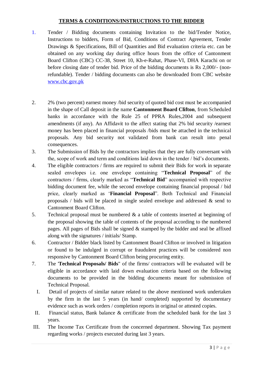# **TERMS & CONDITIONS/INSTRUCTIONS TO THE BIDDER**

- 1. Tender / Bidding documents containing Invitation to the bid/Tender Notice, Instructions to bidders, Form of Bid, Conditions of Contract Agreement, Tender Drawings & Specifications, Bill of Quantities and Bid evaluation criteria etc. can be obtained on any working day during office hours from the office of Cantonment Board Clifton (CBC) CC-38, Street 10, Kh-e-Rahat, Phase-VI, DHA Karachi on or before closing date of tender bid. Price of the bidding documents is Rs 2,000/- (nonrefundable). Tender / bidding documents can also be downloaded from CBC website [www.cbc.gov.pk](http://www.cbc.gov.pk/)
- 2. 2% (two percent) earnest money /bid security of quoted bid cost must be accompanied in the shape of Call deposit in the name **Cantonment Board Clifton**, from Scheduled banks in accordance with the Rule 25 of PPRA Rules,2004 and subsequent amendments (if any). An Affidavit to the affect stating that 2% bid security /earnest money has been placed in financial proposals /bids must be attached in the technical proposals. Any bid security not validated from bank can result into penal consequences.
- 3. The Submission of Bids by the contractors implies that they are fully conversant with the, scope of work and term and conditions laid down in the tender / bid's documents.
- 4. The eligible contractors / firms are required to submit their Bids for work in separate sealed envelopes i.e. one envelope containing "**Technical Proposal**" of the contractors / firms, clearly marked as "**Technical Bid**" accompanied with respective bidding document fee, while the second envelope containing financial proposal / bid price, clearly marked as '**Financial Proposal**". Both Technical and Financial proposals / bids will be placed in single sealed envelope and addressed & send to Cantonment Board Clifton.
- 5. Technical proposal must be numbered & a table of contents inserted at beginning of the proposal showing the table of contents of the proposal according to the numbered pages. All pages of Bids shall be signed & stamped by the bidder and seal be affixed along with the signatures / initials/ Stamp.
- 6. Contractor / Bidder black listed by Cantonment Board Clifton or involved in litigation or found to be indulged in corrupt or fraudulent practices will be considered non responsive by Cantonment Board Clifton being procuring entity.
- 7. The '**Technical Proposals/ Bids**" of the firms/ contractors will be evaluated will be eligible in accordance with laid down evaluation criteria based on the following documents to be provided in the bidding documents meant for submission of Technical Proposal.
	- I. Detail of projects of similar nature related to the above mentioned work undertaken by the firm in the last 5 years (in hand/ completed) supported by documentary evidence such as work orders / completion reports in original or attested copies.
	- II. Financial status, Bank balance & certificate from the scheduled bank for the last 3 years.
- III. The Income Tax Certificate from the concerned department. Showing Tax payment regarding works / projects executed during last 3 years.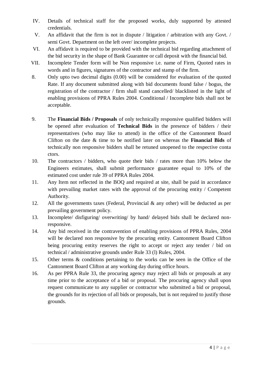- IV. Details of technical staff for the proposed works, duly supported by attested credentials.
- V. An affidavit that the firm is not in dispute / litigation / arbitration with any Govt. / semi Govt. Department on the left over/ incomplete projects.
- VI. An affidavit is required to be provided with the technical bid regarding attachment of the bid security in the shape of Bank Guarantee or call deposit with the financial bid.
- VII. Incomplete Tender form will be Non responsive i.e. name of Firm, Quoted rates in words and in figures, signatures of the contractor and stamp of the firm.
- 8. Only upto two decimal digits (0.00) will be considered for evaluation of the quoted Rate. If any document submitted along with bid documents found false / bogus, the registration of the contractor / firm shall stand cancelled/ blacklisted in the light of enabling provisions of PPRA Rules 2004. Conditional / Incomplete bids shall not be acceptable.
- 9. The **Financial Bids / Proposals** of only technically responsive qualified bidders will be opened after evaluation of **Technical Bids** in the presence of bidders / their representatives (who may like to attend) in the office of the Cantonment Board Clifton on the date & time to be notified later on whereas the **Financial Bids** of technically non responsive bidders shall be retuned unopened to the respective conta ctors.
- 10. The contractors / bidders, who quote their bids / rates more than 10% below the Engineers estimates, shall submit performance guarantee equal to 10% of the estimated cost under rule 39 of PPRA Rules 2004.
- 11. Any Item not reflected in the BOQ and required at site, shall be paid in accordance with prevailing market rates with the approval of the procuring entity / Competent Authority.
- 12. All the governments taxes (Federal, Provincial  $\&$  any other) will be deducted as per prevailing government policy.
- 13. Incomplete/ disfiguring/ overwriting/ by hand/ delayed bids shall be declared nonresponsive.
- 14. Any bid received in the contravention of enabling provisions of PPRA Rules, 2004 will be declared non responsive by the procuring entity. Cantonment Board Clifton being procuring entity reserves the right to accept or reject any tender / bid on technical / administrative grounds under Rule 33 (l) Rules, 2004.
- 15. Other terms & conditions pertaining to the works can be seen in the Office of the Cantonment Board Clifton at any working day during office hours.
- 16. As per PPRA Rule 33, the procuring agency may reject all bids or proposals at any time prior to the acceptance of a bid or proposal. The procuring agency shall upon request communicate to any supplier or contractor who submitted a bid or proposal, the grounds for its rejection of all bids or proposals, but is not required to justify those grounds.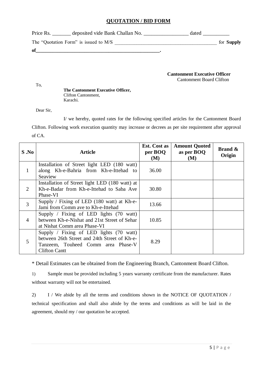## **QUOTATION / BID FORM**

| Price Rs.<br>deposited vide Bank Challan No. | dated |                   |
|----------------------------------------------|-------|-------------------|
| The "Quotation Form" is issued to M/S        |       | for <b>Supply</b> |
| of                                           |       |                   |

**Cantonment Executive Officer** Cantonment Board Clifton

**The Cantonment Executive Officer,** Clifton Cantonment, Karachi.

Dear Sir,

To,

I/ we hereby, quoted rates for the following specified articles for the Cantonment Board Clifton. Following work execution quantity may increase or decrees as per site requirement after approval of CA.

| S .No          | Article                                                                                                                                                         | Est. Cost as<br>per BOQ<br>(M) | <b>Amount Quoted</b><br>as per BOQ<br>(M) | <b>Brand &amp;</b><br>Origin |
|----------------|-----------------------------------------------------------------------------------------------------------------------------------------------------------------|--------------------------------|-------------------------------------------|------------------------------|
| 1              | Installation of Street light LED (180 watt)<br>along Kh-e-Bahria from Kh-e-Ittehad to<br>Seaview                                                                | 36.00                          |                                           |                              |
| $\overline{2}$ | Installation of Street light LED (180 watt) at<br>Kh-e-Badar from Kh-e-Ittehad to Saba Ave<br>Phase-VI                                                          | 30.80                          |                                           |                              |
| 3              | Supply / Fixing of LED (180 watt) at Kh-e-<br>Jami from Comm ave to Kh-e-Ittehad                                                                                | 13.66                          |                                           |                              |
| $\overline{4}$ | Supply / Fixing of LED lights $(70 \text{ watt})$<br>between Kh-e-Nishat and 21st Street of Sehar<br>at Nishat Comm area Phase-VI                               | 10.85                          |                                           |                              |
| 5              | Supply / Fixing of LED lights $(70 \text{ watt})$<br>between 26th Street and 24th Street of Kh-e-<br>Tanzeem, Touheed Comm area Phase-V<br><b>Clifton Cantt</b> | 8.29                           |                                           |                              |

\* Detail Estimates can be obtained from the Engineering Branch, Cantonment Board Clifton.

1) Sample must be provided including 5 years warranty certificate from the manufacturer. Rates without warranty will not be entertained.

2) I / We abide by all the terms and conditions shown in the NOTICE OF QUOTATION / technical specification and shall also abide by the terms and conditions as will be laid in the agreement, should my / our quotation be accepted.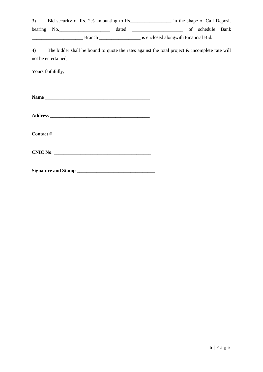| 3) |                     |                                                                                                                                                                                                                                                                                                                                                                                                             | Bid security of Rs. 2% amounting to Rs_______________________ in the shape of Call Deposit       |  |  |
|----|---------------------|-------------------------------------------------------------------------------------------------------------------------------------------------------------------------------------------------------------------------------------------------------------------------------------------------------------------------------------------------------------------------------------------------------------|--------------------------------------------------------------------------------------------------|--|--|
|    |                     |                                                                                                                                                                                                                                                                                                                                                                                                             | bearing No. No. 2008 and the dated 2008 and the contract of schedule Bank                        |  |  |
|    |                     |                                                                                                                                                                                                                                                                                                                                                                                                             |                                                                                                  |  |  |
| 4) | not be entertained, |                                                                                                                                                                                                                                                                                                                                                                                                             | The bidder shall be bound to quote the rates against the total project $\&$ incomplete rate will |  |  |
|    | Yours faithfully,   |                                                                                                                                                                                                                                                                                                                                                                                                             |                                                                                                  |  |  |
|    |                     |                                                                                                                                                                                                                                                                                                                                                                                                             |                                                                                                  |  |  |
|    |                     |                                                                                                                                                                                                                                                                                                                                                                                                             |                                                                                                  |  |  |
|    |                     |                                                                                                                                                                                                                                                                                                                                                                                                             |                                                                                                  |  |  |
|    |                     | Contact # $\frac{1}{\sqrt{1-\frac{1}{2}}\sqrt{1-\frac{1}{2}}\sqrt{1-\frac{1}{2}}\sqrt{1-\frac{1}{2}}\sqrt{1-\frac{1}{2}}\sqrt{1-\frac{1}{2}}\sqrt{1-\frac{1}{2}}\sqrt{1-\frac{1}{2}}\sqrt{1-\frac{1}{2}}\sqrt{1-\frac{1}{2}}\sqrt{1-\frac{1}{2}}\sqrt{1-\frac{1}{2}}\sqrt{1-\frac{1}{2}}\sqrt{1-\frac{1}{2}}\sqrt{1-\frac{1}{2}}\sqrt{1-\frac{1}{2}}\sqrt{1-\frac{1}{2}}\sqrt{1-\frac{1}{2}}\sqrt{1-\frac{$ |                                                                                                  |  |  |
|    |                     |                                                                                                                                                                                                                                                                                                                                                                                                             |                                                                                                  |  |  |
|    |                     |                                                                                                                                                                                                                                                                                                                                                                                                             |                                                                                                  |  |  |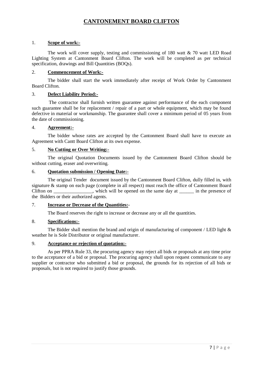# **CANTONEMENT BOARD CLIFTON**

## 1. **Scope of work:-**

The work will cover supply, testing and commissioning of 180 watt  $\&$  70 watt LED Road Lighting System at Cantonment Board Clifton. The work will be completed as per technical specification, drawings and Bill Quantities (BOQs).

## 2. **Commencement of Work:-**

The bidder shall start the work immediately after receipt of Work Order by Cantonment Board Clifton.

## 3. **Defect Liability Period:-**

The contractor shall furnish written guarantee against performance of the each component such guarantee shall be for replacement / repair of a part or whole equipment, which may be found defective in material or workmanship. The guarantee shall cover a minimum period of 05 years from the date of commissioning.

## 4. **Agreement:-**

The bidder whose rates are accepted by the Cantonment Board shall have to execute an Agreement with Cantt Board Clifton at its own expense.

## 5. **No Cutting or Over Writing:-**

The original Quotation Documents issued by the Cantonment Board Clifton should be without cutting, eraser and overwriting.

# 6. **Quotation submission / Opening Date:-**

The original Tender document issued by the Cantonment Board Clifton, dully filled in, with signature & stamp on each page (complete in all respect) must reach the office of Cantonment Board Clifton on \_\_\_\_\_\_\_\_\_\_\_\_, which will be opened on the same day at \_\_\_\_\_\_ in the presence of the Bidders or their authorized agents.

#### 7. **Increase or Decrease of the Quantities:-**

The Board reserves the right to increase or decrease any or all the quantities.

#### 8. **Specifications:-**

The Bidder shall mention the brand and origin of manufacturing of component / LED light & weather he is Sole Distributor or original manufacturer.

#### 9. **Acceptance or rejection of quotation:-**

As per PPRA Rule 33, the procuring agency may reject all bids or proposals at any time prior to the acceptance of a bid or proposal. The procuring agency shall upon request communicate to any supplier or contractor who submitted a bid or proposal, the grounds for its rejection of all bids or proposals, but is not required to justify those grounds.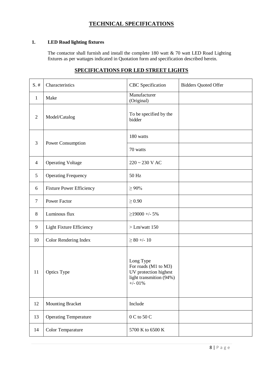# **TECHNICAL SPECIFICATIONS**

## **1. LED Road lighting fixtures**

The contactor shall furnish and install the complete 180 watt & 70 watt LED Road Lighting fixtures as per wattages indicated in Quotation form and specification described herein.

# **SPECIFICATIONS FOR LED STREET LIGHTS**

| $S.$ #         | Characteristics                 | CBC Specification                                                                                  | <b>Bidders Quoted Offer</b> |
|----------------|---------------------------------|----------------------------------------------------------------------------------------------------|-----------------------------|
| $\mathbf{1}$   | Make                            | Manufacturer<br>(Original)                                                                         |                             |
| $\overline{2}$ | Model/Catalog                   | To be specified by the<br>bidder                                                                   |                             |
|                | Power Consumption               | 180 watts                                                                                          |                             |
| 3              |                                 | 70 watts                                                                                           |                             |
| $\overline{4}$ | <b>Operating Voltage</b>        | $220 \sim 230 \text{ V AC}$                                                                        |                             |
| 5              | <b>Operating Frequency</b>      | 50 Hz                                                                                              |                             |
| 6              | <b>Fixture Power Efficiency</b> | $\geq 90\%$                                                                                        |                             |
| $\tau$         | <b>Power Factor</b>             | $\geq 0.90$                                                                                        |                             |
| 8              | Luminous flux                   | $\geq$ 19000 +/- 5%                                                                                |                             |
| 9              | <b>Light Fixture Efficiency</b> | $>Lm/watt$ 150                                                                                     |                             |
| 10             | Color Rendering Index           | $\geq 80 + 10$                                                                                     |                             |
| 11             | <b>Optics Type</b>              | Long Type<br>For roads (M1 to M3)<br>UV protection highest<br>light transmition (94%)<br>$+/-$ 01% |                             |
| 12             | <b>Mounting Bracket</b>         | Include                                                                                            |                             |
| 13             | <b>Operating Temperature</b>    | $0\,C$ to $50\,C$                                                                                  |                             |
| 14             | Color Temparature               | 5700 K to 6500 K                                                                                   |                             |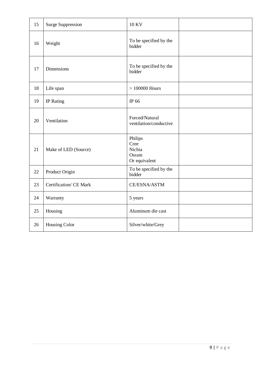| 15 | <b>Surge Suppression</b> | <b>10 KV</b>                                        |  |
|----|--------------------------|-----------------------------------------------------|--|
| 16 | Weight                   | To be specified by the<br>bidder                    |  |
| 17 | Dimensions               | To be specified by the<br>bidder                    |  |
| 18 | Life span                | $>100000$ Hours                                     |  |
| 19 | IP Rating                | IP 66                                               |  |
| 20 | Ventilation              | Forced/Natural<br>ventilation/conductive            |  |
| 21 | Make of LED (Source)     | Philips<br>Cree<br>Nichia<br>Osram<br>Or equivalent |  |
| 22 | Product Origin           | To be specified by the<br>bidder                    |  |
| 23 | Certification/ CE Mark   | CE/ESNA/ASTM                                        |  |
| 24 | Warranty                 | 5 years                                             |  |
| 25 | Housing                  | Aluminum die cast                                   |  |
| 26 | Housing Color            | Silver/white/Grey                                   |  |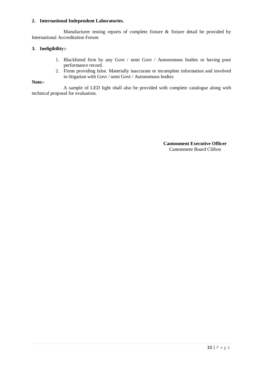## **2. International Independent Laboratories.**

Manufacturer testing reports of complete fixture & fixture detail be provided by International Accreditation Forum

## **3. Ineligibility:-**

- 1. Blacklisted firm by any Govt / semi Govt / Autonomous bodies or having poor performance record.
- 2. Firms providing false. Materially inaccurate or incomplete information and involved in litigation with Govt / semi Govt / Autonomous bodies

#### **Note:-**

A sample of LED light shall also be provided with complete catalogue along with technical proposal for evaluation.

> **Cantonment Executive Officer** Cantonment Board Clifton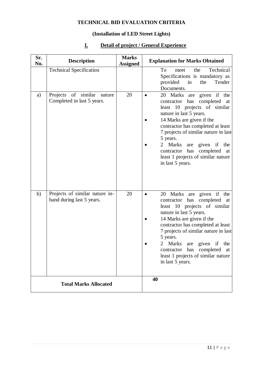# **TECHNICAL BID EVALUATION CRITERIA**

## **(Installation of LED Street Lights)**

# **Sr. No. Description Marks No. Description Assigned Explanation for Marks Obtained** Technical Specification To meet the Technical Specifications is mandatory as provided in the Tender Documents. a) Projects of similar nature Completed in last 5 years. 20 • 20 Marks are given if the contractor has completed at least 10 projects of similar nature in last 5 years. • 14 Marks are given if the contractor has completed at least 7 projects of similar nature in last 5 years. • 2 Marks are given if the contractor has completed at least 1 projects of similar nature in last 5 years. b) Projects of similar nature inhand during last 5 years. 20 **.** 20 Marks are given if the contractor has completed at least 10 projects of similar nature in last 5 years. • 14 Marks are given if the contractor has completed at least 7 projects of similar nature in last 5 years. • 2 Marks are given if the contractor has completed at least 1 projects of similar nature in last 5 years. **Total Marks Allocated 40**

# **I. Detail of project / General Experience**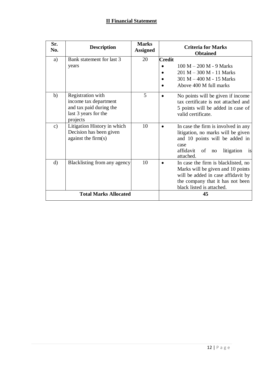# **II Financial Statement**

| Sr.<br>No.    | <b>Description</b>                                                                                        | <b>Marks</b><br><b>Assigned</b> | <b>Criteria for Marks</b><br><b>Obtained</b>                                                                                                                                               |
|---------------|-----------------------------------------------------------------------------------------------------------|---------------------------------|--------------------------------------------------------------------------------------------------------------------------------------------------------------------------------------------|
| a)            | Bank statement for last 3<br>years                                                                        | 20                              | <b>Credit</b><br>$100 M - 200 M - 9 Marks$<br>$201 M - 300 M - 11 Marks$<br>301 M - 400 M - 15 Marks<br>Above 400 M full marks                                                             |
| b)            | Registration with<br>income tax department<br>and tax paid during the<br>last 3 years for the<br>projects | 5                               | No points will be given if income<br>tax certificate is not attached and<br>5 points will be added in case of<br>valid certificate.                                                        |
| $\mathbf{c})$ | Litigation History in which<br>Decision has been given<br>against the $firm(s)$                           | 10                              | In case the firm is involved in any<br>$\bullet$<br>litigation, no marks will be given<br>and 10 points will be added in<br>case<br>affidavit<br>litigation<br>of<br>no<br>is<br>attached. |
| $\mathbf{d}$  | Blacklisting from any agency                                                                              | 10                              | In case the firm is blacklisted, no<br>Marks will be given and 10 points<br>will be added in case affidavit by<br>the company that it has not been<br>black listed is attached.            |
|               | <b>Total Marks Allocated</b>                                                                              | 45                              |                                                                                                                                                                                            |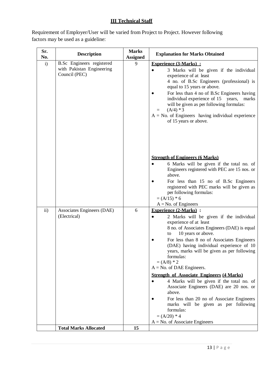# **III Technical Staff**

Requirement of Employer/User will be varied from Project to Project. However following factors may be used as a guideline:

| Sr.<br>No. | <b>Description</b>                                                      | <b>Marks</b><br><b>Assigned</b> | <b>Explanation for Marks Obtained</b>                                                                                                                                                                                                                                                                                                                                                                                                                                                                                                    |
|------------|-------------------------------------------------------------------------|---------------------------------|------------------------------------------------------------------------------------------------------------------------------------------------------------------------------------------------------------------------------------------------------------------------------------------------------------------------------------------------------------------------------------------------------------------------------------------------------------------------------------------------------------------------------------------|
| i)         | B.Sc Engineers registered<br>with Pakistan Engineering<br>Council (PEC) | 9                               | <b>Experience (3-Marks):</b><br>3 Marks will be given if the individual<br>experience of at least<br>4 no. of B.Sc Engineers (professional) is<br>equal to 15 years or above.<br>For less than 4 no of B.Sc Engineers having<br>individual experience of 15 years, marks<br>will be given as per following formulas:<br>$(A/4)*3$<br>I.<br>$A = No$ . of Engineers having individual experience<br>of 15 years or above.                                                                                                                 |
|            |                                                                         |                                 | <b>Strength of Engineers (6 Marks)</b><br>6 Marks will be given if the total no. of<br>Engineers registered with PEC are 15 nos. or<br>above.<br>For less than 15 no of B.Sc Engineers<br>registered with PEC marks will be given as<br>per following formulas:<br>$=(A/15)*6$<br>$A = No.$ of Engineers                                                                                                                                                                                                                                 |
| $\rm ii)$  | Associates Engineers (DAE)<br>(Electrical)                              | 6                               | <b>Experience (2-Marks):</b><br>2 Marks will be given if the individual<br>experience of at least<br>8 no. of Associates Engineers (DAE) is equal<br>10 years or above.<br>to<br>For less than 8 no of Associates Engineers<br>(DAE) having individual experience of 10<br>years, marks will be given as per following<br>formulas:<br>$=(A/8)*2$<br>$A = No$ . of DAE Engineers.<br><b>Strength of Associate Engineers (4 Marks)</b><br>4 Marks will be given if the total no. of<br>Associate Engineers (DAE) are 20 nos. or<br>above. |
|            | <b>Total Marks Allocated</b>                                            | 15                              | For less than 20 no of Associate Engineers<br>marks will be given as per following<br>formulas:<br>$= (A/20) * 4$<br>$A = No$ . of Associate Engineers                                                                                                                                                                                                                                                                                                                                                                                   |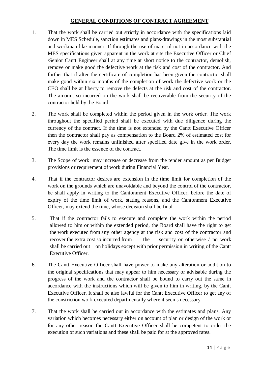# **GENERAL CONDITIONS OF CONTRACT AGREEMENT**

- 1. That the work shall be carried out strictly in accordance with the specifications laid down in MES Schedule, sanction estimates and plans/drawings in the most substantial and workman like manner. If through the use of material not in accordance with the MES specifications given apparent in the work at site the Executive Officer or Chief /Senior Cantt Engineer shall at any time at short notice to the contractor, demolish, remove or make good the defective work at the risk and cost of the contractor. And further that if after the certificate of completion has been given the contractor shall make good within six months of the completion of work the defective work or the CEO shall be at liberty to remove the defects at the risk and cost of the contractor. The amount so incurred on the work shall be recoverable from the security of the contractor held by the Board.
- 2. The work shall be completed within the period given in the work order. The work throughout the specified period shall be executed with due diligence during the currency of the contract. If the time is not extended by the Cantt Executive Officer then the contractor shall pay as compensation to the Board 2% of estimated cost for every day the work remains unfinished after specified date give in the work order. The time limit is the essence of the contract.
- 3. The Scope of work may increase or decrease from the tender amount as per Budget provisions or requirement of work during Financial Year.
- 4. That if the contractor desires are extension in the time limit for completion of the work on the grounds which are unavoidable and beyond the control of the contractor, he shall apply in writing to the Cantonment Executive Officer, before the date of expiry of the time limit of work, stating reasons, and the Cantonment Executive Officer, may extend the time, whose decision shall be final.
- 5. That if the contractor fails to execute and complete the work within the period allowed to him or within the extended period, the Board shall have the right to get the work executed from any other agency at the risk and cost of the contractor and recover the extra cost so incurred from the security or otherwise / no work shall be carried out on holidays except with prior permission in writing of the Cantt Executive Officer.
- 6. The Cantt Executive Officer shall have power to make any alteration or addition to the original specifications that may appear to him necessary or advisable during the progress of the work and the contractor shall be bound to carry out the same in accordance with the instructions which will be given to him in writing, by the Cantt Executive Officer. It shall be also lawful for the Cantt Executive Officer to get any of the constriction work executed departmentally where it seems necessary.
- 7. That the work shall be carried out in accordance with the estimates and plans. Any variation which becomes necessary either on account of plan or design of the work or for any other reason the Cantt Executive Officer shall be competent to order the execution of such variations and these shall be paid for at the approved rates.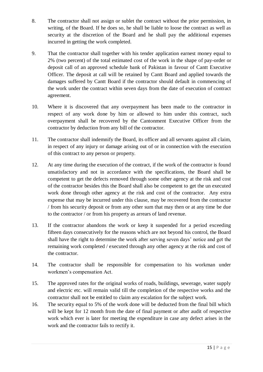- 8. The contractor shall not assign or sublet the contract without the prior permission, in writing, of the Board. If he does so, he shall be liable to loose the contract as well as security at the discretion of the Board and he shall pay the additional expenses incurred in getting the work completed.
- 9. That the contractor shall together with his tender application earnest money equal to 2% (two percent) of the total estimated cost of the work in the shape of pay-order or deposit call of an approved schedule bank of Pakistan in favour of Cantt Executive Officer. The deposit at call will be retained by Cantt Board and applied towards the damages suffered by Cantt Board if the contractor should default in commencing of the work under the contract within seven days from the date of execution of contract agreement.
- 10. Where it is discovered that any overpayment has been made to the contractor in respect of any work done by him or allowed to him under this contract, such overpayment shall be recovered by the Cantonment Executive Officer from the contractor by deduction from any bill of the contractor.
- 11. The contractor shall indemnify the Board, its officer and all servants against all claim, in respect of any injury or damage arising out of or in connection with the execution of this contract to any person or property.
- 12. At any time during the execution of the contract, if the work of the contractor is found unsatisfactory and not in accordance with the specifications, the Board shall be competent to get the defects removed through some other agency at the risk and cost of the contractor besides this the Board shall also be competent to get the un executed work done through other agency at the risk and cost of the contractor. Any extra expense that may be incurred under this clause, may be recovered from the contractor / from his security deposit or from any other sum that may then or at any time be due to the contractor / or from his property as arrears of land revenue.
- 13. If the contractor abandons the work or keep it suspended for a period exceeding fifteen days consecutively for the reasons which are not beyond his control, the Board shall have the right to determine the work after serving seven days' notice and get the remaining work completed / executed through any other agency at the risk and cost of the contractor.
- 14. The contractor shall be responsible for compensation to his workman under workmen's compensation Act.
- 15. The approved rates for the original works of roads, buildings, sewerage, water supply and electric etc. will remain valid till the completion of the respective works and the contractor shall not be entitled to claim any escalation for the subject work.
- 16. The security equal to 5% of the work done will be deducted from the final bill which will be kept for 12 month from the date of final payment or after audit of respective work which ever is later for meeting the expenditure in case any defect arises in the work and the contractor fails to rectify it.